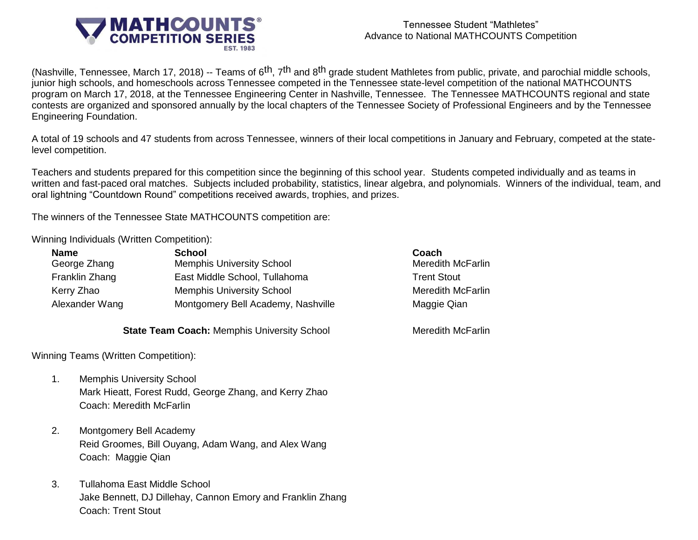

(Nashville, Tennessee, March 17, 2018) -- Teams of 6<sup>th</sup>, 7<sup>th</sup> and 8<sup>th</sup> grade student Mathletes from public, private, and parochial middle schools, junior high schools, and homeschools across Tennessee competed in the Tennessee state-level competition of the national MATHCOUNTS program on March 17, 2018, at the Tennessee Engineering Center in Nashville, Tennessee. The Tennessee MATHCOUNTS regional and state contests are organized and sponsored annually by the local chapters of the Tennessee Society of Professional Engineers and by the Tennessee Engineering Foundation.

A total of 19 schools and 47 students from across Tennessee, winners of their local competitions in January and February, competed at the statelevel competition.

Teachers and students prepared for this competition since the beginning of this school year. Students competed individually and as teams in written and fast-paced oral matches. Subjects included probability, statistics, linear algebra, and polynomials. Winners of the individual, team, and oral lightning "Countdown Round" competitions received awards, trophies, and prizes.

The winners of the Tennessee State MATHCOUNTS competition are:

Winning Individuals (Written Competition):

| <b>Name</b>    | <b>School</b>                      | Coach                    |
|----------------|------------------------------------|--------------------------|
| George Zhang   | <b>Memphis University School</b>   | <b>Meredith McFarlin</b> |
| Franklin Zhang | East Middle School, Tullahoma      | <b>Trent Stout</b>       |
| Kerry Zhao     | <b>Memphis University School</b>   | <b>Meredith McFarlin</b> |
| Alexander Wang | Montgomery Bell Academy, Nashville | Maggie Qian              |

**State Team Coach:** Memphis University School Meredith McFarlin

Winning Teams (Written Competition):

- 1. Memphis University School Mark Hieatt, Forest Rudd, George Zhang, and Kerry Zhao Coach: Meredith McFarlin
- 2. Montgomery Bell Academy Reid Groomes, Bill Ouyang, Adam Wang, and Alex Wang Coach: Maggie Qian
- 3. Tullahoma East Middle School Jake Bennett, DJ Dillehay, Cannon Emory and Franklin Zhang Coach: Trent Stout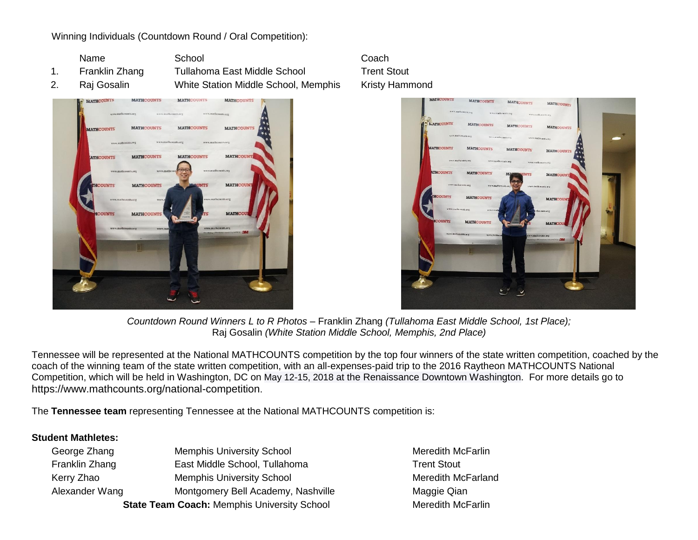Winning Individuals (Countdown Round / Oral Competition):

Name School School School Coach 1. Franklin Zhang Tullahoma East Middle School Trent Stout 2. Raj Gosalin White Station Middle School, Memphis Kristy Hammond





*Countdown Round Winners L to R Photos –* Franklin Zhang *(Tullahoma East Middle School, 1st Place);* Raj Gosalin *(White Station Middle School, Memphis, 2nd Place)*

Tennessee will be represented at the National MATHCOUNTS competition by the top four winners of the state written competition, coached by the coach of the winning team of the state written competition, with an all-expenses-paid trip to the 2016 Raytheon MATHCOUNTS National Competition, which will be held in Washington, DC on May 12-15, 2018 at the Renaissance Downtown Washington. For more details go to https://www.mathcounts.org/national-competition.

The **Tennessee team** representing Tennessee at the National MATHCOUNTS competition is:

#### **Student Mathletes:**

| George Zhang                                       | <b>Memphis University School</b>   | Meredith M         |
|----------------------------------------------------|------------------------------------|--------------------|
| Franklin Zhang                                     | East Middle School, Tullahoma      | <b>Trent Stout</b> |
| Kerry Zhao                                         | <b>Memphis University School</b>   | Meredith M         |
| Alexander Wang                                     | Montgomery Bell Academy, Nashville | Maggie Qia         |
| <b>State Team Coach: Memphis University School</b> |                                    | Meredith M         |

Meredith McFarlin Meredith McFarland Maggie Qian **Meredith McFarlin**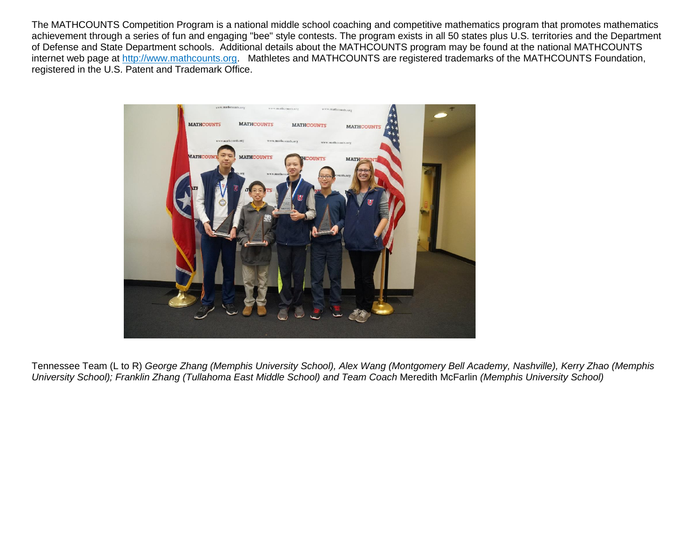The MATHCOUNTS Competition Program is a national middle school coaching and competitive mathematics program that promotes mathematics achievement through a series of fun and engaging "bee" style contests. The program exists in all 50 states plus U.S. territories and the Department of Defense and State Department schools. Additional details about the MATHCOUNTS program may be found at the national MATHCOUNTS internet web page at [http://www.mathcounts.org.](http://www.mathcounts.org/) Mathletes and MATHCOUNTS are registered trademarks of the MATHCOUNTS Foundation, registered in the U.S. Patent and Trademark Office.



Tennessee Team (L to R) *George Zhang (Memphis University School), Alex Wang (Montgomery Bell Academy, Nashville), Kerry Zhao (Memphis University School); Franklin Zhang (Tullahoma East Middle School) and Team Coach* Meredith McFarlin *(Memphis University School)*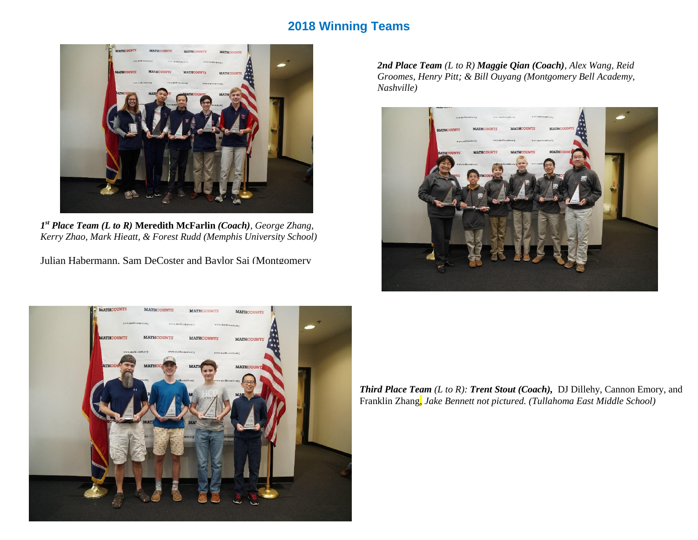## **2018 Winning Teams**



*1 st Place Team (L to R)* **Meredith McFarlin** *(Coach), George Zhang, Kerry Zhao, Mark Hieatt, & Forest Rudd (Memphis University School)*

Julian Habermann, Sam DeCoster and Baylor Sai (Montgomery

*2nd Place Team (L to R) Maggie Qian (Coach), Alex Wang, Reid Groomes, Henry Pitt; & Bill Ouyang (Montgomery Bell Academy, Nashville)*





*A Special Thank you to our Volunteers and Sponsors* Franklin Zhang*, Jake Bennett not pictured. (Tullahoma East Middle School)Third Place Team (L to R): Trent Stout (Coach),* DJ Dillehy, Cannon Emory, and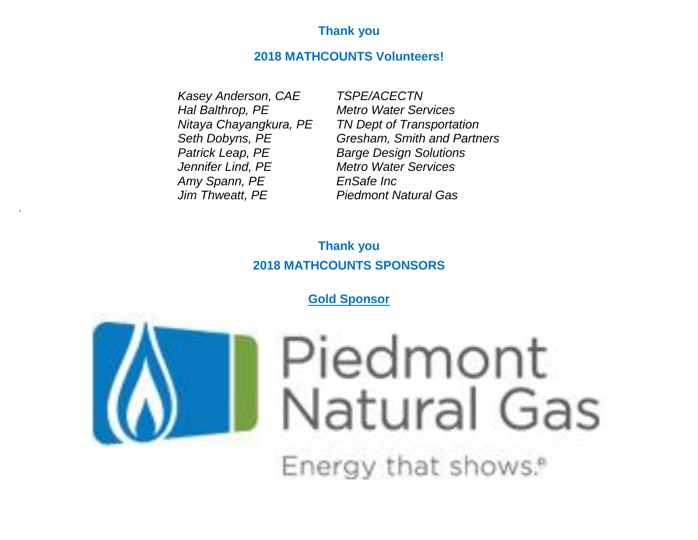## **Thank you**

## **2018 MATHCOUNTS Volunteers!**

*Kasey Anderson, CAE TSPE/ACECTN Hal Balthrop, PE Metro Water Services Patrick Leap, PE Barge Design Solutions Jennifer Lind, PE Metro Water Services Amy Spann, PE EnSafe Inc Jim Thweatt, PE Piedmont Natural Gas*

*Nitaya Chayangkura, PE TN Dept of Transportation Seth Dobyns, PE Gresham, Smith and Partners*

## **Thank you 2018 MATHCOUNTS SPONSORS**

**Gold Sponsor**



.

# Piedmont Natural Gas Energy that shows.<sup>8</sup>